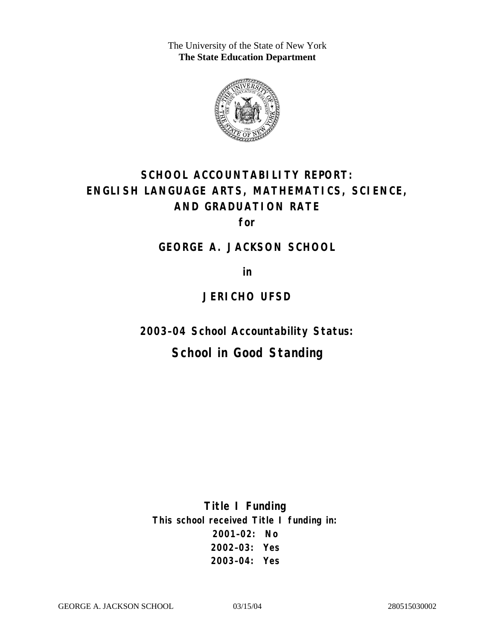The University of the State of New York **The State Education Department** 



# **SCHOOL ACCOUNTABILITY REPORT: ENGLISH LANGUAGE ARTS, MATHEMATICS, SCIENCE, AND GRADUATION RATE**

**for** 

**GEORGE A. JACKSON SCHOOL** 

**in** 

### **JERICHO UFSD**

**2003–04 School Accountability Status:** 

# **School in Good Standing**

**Title I Funding This school received Title I funding in: 2001–02: No 2002–03: Yes 2003–04: Yes**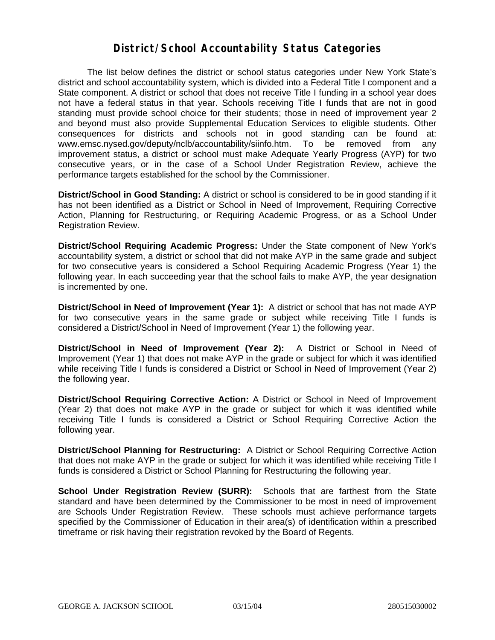#### **District/School Accountability Status Categories**

The list below defines the district or school status categories under New York State's district and school accountability system, which is divided into a Federal Title I component and a State component. A district or school that does not receive Title I funding in a school year does not have a federal status in that year. Schools receiving Title I funds that are not in good standing must provide school choice for their students; those in need of improvement year 2 and beyond must also provide Supplemental Education Services to eligible students. Other consequences for districts and schools not in good standing can be found at: www.emsc.nysed.gov/deputy/nclb/accountability/siinfo.htm. To be removed from any improvement status, a district or school must make Adequate Yearly Progress (AYP) for two consecutive years, or in the case of a School Under Registration Review, achieve the performance targets established for the school by the Commissioner.

**District/School in Good Standing:** A district or school is considered to be in good standing if it has not been identified as a District or School in Need of Improvement, Requiring Corrective Action, Planning for Restructuring, or Requiring Academic Progress, or as a School Under Registration Review.

**District/School Requiring Academic Progress:** Under the State component of New York's accountability system, a district or school that did not make AYP in the same grade and subject for two consecutive years is considered a School Requiring Academic Progress (Year 1) the following year. In each succeeding year that the school fails to make AYP, the year designation is incremented by one.

**District/School in Need of Improvement (Year 1):** A district or school that has not made AYP for two consecutive years in the same grade or subject while receiving Title I funds is considered a District/School in Need of Improvement (Year 1) the following year.

**District/School in Need of Improvement (Year 2):** A District or School in Need of Improvement (Year 1) that does not make AYP in the grade or subject for which it was identified while receiving Title I funds is considered a District or School in Need of Improvement (Year 2) the following year.

**District/School Requiring Corrective Action:** A District or School in Need of Improvement (Year 2) that does not make AYP in the grade or subject for which it was identified while receiving Title I funds is considered a District or School Requiring Corrective Action the following year.

**District/School Planning for Restructuring:** A District or School Requiring Corrective Action that does not make AYP in the grade or subject for which it was identified while receiving Title I funds is considered a District or School Planning for Restructuring the following year.

**School Under Registration Review (SURR):** Schools that are farthest from the State standard and have been determined by the Commissioner to be most in need of improvement are Schools Under Registration Review. These schools must achieve performance targets specified by the Commissioner of Education in their area(s) of identification within a prescribed timeframe or risk having their registration revoked by the Board of Regents.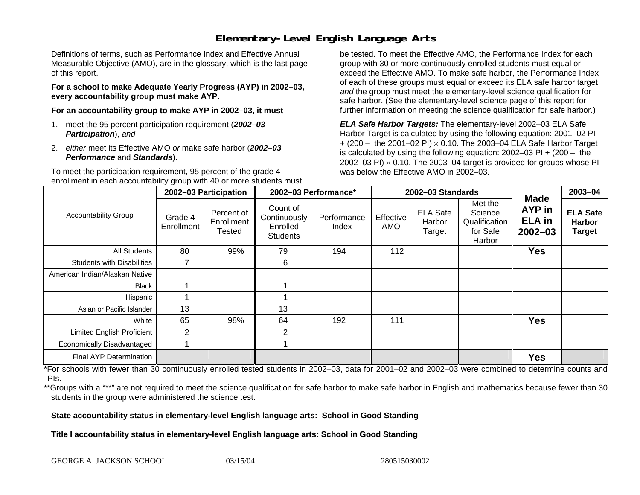# **Elementary-Level English Language Arts**

Definitions of terms, such as Performance Index and Effective Annual Measurable Objective (AMO), are in the glossary, which is the last page of this report.

**For a school to make Adequate Yearly Progress (AYP) in 2002–03, every accountability group must make AYP.** 

**For an accountability group to make AYP in 2002–03, it must** 

- 1. meet the 95 percent participation requirement (*2002–03 Participation*), *and*
- 2. *either* meet its Effective AMO *or* make safe harbor (*2002–03 Performance* and *Standards*).

To meet the participation requirement, 95 percent of the grade 4 enrollment in each accountability group with 40 or more students must

be tested. To meet the Effective AMO, the Performance Index for each group with 30 or more continuously enrolled students must equal or exceed the Effective AMO. To make safe harbor, the Performance Index of each of these groups must equal or exceed its ELA safe harbor target *and* the group must meet the elementary-level science qualification for safe harbor. (See the elementary-level science page of this report for further information on meeting the science qualification for safe harbor.)

*ELA Safe Harbor Targets:* The elementary-level 2002–03 ELA Safe Harbor Target is calculated by using the following equation: 2001–02 PI + (200 – the 2001–02 PI) <sup>×</sup> 0.10. The 2003–04 ELA Safe Harbor Target is calculated by using the following equation: 2002–03 PI + (200 – the 2002–03 PI)  $\times$  0.10. The 2003–04 target is provided for groups whose PI was below the Effective AMO in 2002–03.

| <b>Accountability Group</b>       | 2002-03 Participation |                                           | 2002-03 Performance*                                    |                      | 2002-03 Standards |                                     |                                                           |                                                       | 2003-04                                           |
|-----------------------------------|-----------------------|-------------------------------------------|---------------------------------------------------------|----------------------|-------------------|-------------------------------------|-----------------------------------------------------------|-------------------------------------------------------|---------------------------------------------------|
|                                   | Grade 4<br>Enrollment | Percent of<br>Enrollment<br><b>Tested</b> | Count of<br>Continuously<br>Enrolled<br><b>Students</b> | Performance<br>Index | Effective<br>AMO  | <b>ELA Safe</b><br>Harbor<br>Target | Met the<br>Science<br>Qualification<br>for Safe<br>Harbor | Made<br><b>AYP</b> in<br><b>ELA</b> in<br>$2002 - 03$ | <b>ELA Safe</b><br><b>Harbor</b><br><b>Target</b> |
| <b>All Students</b>               | 80                    | 99%                                       | 79                                                      | 194                  | 112               |                                     |                                                           | <b>Yes</b>                                            |                                                   |
| <b>Students with Disabilities</b> | 7                     |                                           | 6                                                       |                      |                   |                                     |                                                           |                                                       |                                                   |
| American Indian/Alaskan Native    |                       |                                           |                                                         |                      |                   |                                     |                                                           |                                                       |                                                   |
| <b>Black</b>                      |                       |                                           |                                                         |                      |                   |                                     |                                                           |                                                       |                                                   |
| Hispanic                          |                       |                                           |                                                         |                      |                   |                                     |                                                           |                                                       |                                                   |
| Asian or Pacific Islander         | 13                    |                                           | 13                                                      |                      |                   |                                     |                                                           |                                                       |                                                   |
| White                             | 65                    | 98%                                       | 64                                                      | 192                  | 111               |                                     |                                                           | <b>Yes</b>                                            |                                                   |
| <b>Limited English Proficient</b> | $\overline{2}$        |                                           | 2                                                       |                      |                   |                                     |                                                           |                                                       |                                                   |
| Economically Disadvantaged        |                       |                                           |                                                         |                      |                   |                                     |                                                           |                                                       |                                                   |
| Final AYP Determination           |                       |                                           |                                                         |                      |                   |                                     |                                                           | <b>Yes</b>                                            |                                                   |

\*For schools with fewer than 30 continuously enrolled tested students in 2002–03, data for 2001–02 and 2002–03 were combined to determine counts and PIs.

\*\*Groups with a "\*\*" are not required to meet the science qualification for safe harbor to make safe harbor in English and mathematics because fewer than 30 students in the group were administered the science test.

**State accountability status in elementary-level English language arts: School in Good Standing** 

Title I accountability status in elementary-level English language arts: School in Good Standing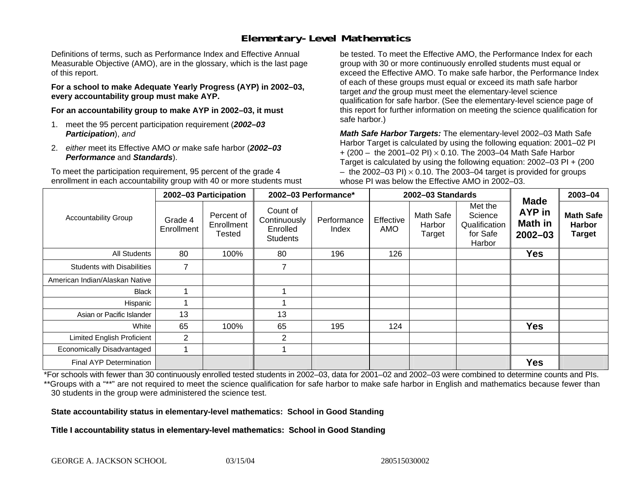# **Elementary-Level Mathematics**

Definitions of terms, such as Performance Index and Effective Annual Measurable Objective (AMO), are in the glossary, which is the last page of this report.

**For a school to make Adequate Yearly Progress (AYP) in 2002–03, every accountability group must make AYP.** 

**For an accountability group to make AYP in 2002–03, it must** 

- 1. meet the 95 percent participation requirement (*2002–03 Participation*), *and*
- 2. *either* meet its Effective AMO *or* make safe harbor (*2002–03 Performance* and *Standards*).

To meet the participation requirement, 95 percent of the grade 4 enrollment in each accountability group with 40 or more students must

be tested. To meet the Effective AMO, the Performance Index for each group with 30 or more continuously enrolled students must equal or exceed the Effective AMO. To make safe harbor, the Performance Index of each of these groups must equal or exceed its math safe harbor target *and* the group must meet the elementary-level science qualification for safe harbor. (See the elementary-level science page of this report for further information on meeting the science qualification for safe harbor.)

*Math Safe Harbor Targets:* The elementary-level 2002–03 Math Safe Harbor Target is calculated by using the following equation: 2001–02 PI + (200 – the 2001–02 PI) × 0.10. The 2003–04 Math Safe Harbor Target is calculated by using the following equation: 2002–03 PI + (200  $-$  the 2002–03 PI)  $\times$  0.10. The 2003–04 target is provided for groups whose PI was below the Effective AMO in 2002–03.

| <b>Accountability Group</b>       | 2002-03 Participation |                                    | 2002-03 Performance*                                    |                      | 2002-03 Standards |                               |                                                           |                                                        | 2003-04                                            |
|-----------------------------------|-----------------------|------------------------------------|---------------------------------------------------------|----------------------|-------------------|-------------------------------|-----------------------------------------------------------|--------------------------------------------------------|----------------------------------------------------|
|                                   | Grade 4<br>Enrollment | Percent of<br>Enrollment<br>Tested | Count of<br>Continuously<br>Enrolled<br><b>Students</b> | Performance<br>Index | Effective<br>AMO  | Math Safe<br>Harbor<br>Target | Met the<br>Science<br>Qualification<br>for Safe<br>Harbor | <b>Made</b><br><b>AYP</b> in<br>Math in<br>$2002 - 03$ | <b>Math Safe</b><br><b>Harbor</b><br><b>Target</b> |
| All Students                      | 80                    | 100%                               | 80                                                      | 196                  | 126               |                               |                                                           | Yes                                                    |                                                    |
| <b>Students with Disabilities</b> | 7                     |                                    | 7                                                       |                      |                   |                               |                                                           |                                                        |                                                    |
| American Indian/Alaskan Native    |                       |                                    |                                                         |                      |                   |                               |                                                           |                                                        |                                                    |
| <b>Black</b>                      |                       |                                    |                                                         |                      |                   |                               |                                                           |                                                        |                                                    |
| Hispanic                          |                       |                                    |                                                         |                      |                   |                               |                                                           |                                                        |                                                    |
| Asian or Pacific Islander         | 13                    |                                    | 13                                                      |                      |                   |                               |                                                           |                                                        |                                                    |
| White                             | 65                    | 100%                               | 65                                                      | 195                  | 124               |                               |                                                           | <b>Yes</b>                                             |                                                    |
| <b>Limited English Proficient</b> | $\overline{2}$        |                                    | $\overline{2}$                                          |                      |                   |                               |                                                           |                                                        |                                                    |
| Economically Disadvantaged        | 1                     |                                    |                                                         |                      |                   |                               |                                                           |                                                        |                                                    |
| <b>Final AYP Determination</b>    |                       |                                    |                                                         |                      |                   |                               |                                                           | <b>Yes</b>                                             |                                                    |

\*For schools with fewer than 30 continuously enrolled tested students in 2002–03, data for 2001–02 and 2002–03 were combined to determine counts and PIs. \*\*Groups with a "\*\*" are not required to meet the science qualification for safe harbor to make safe harbor in English and mathematics because fewer than 30 students in the group were administered the science test.

**State accountability status in elementary-level mathematics: School in Good Standing** 

Title I accountability status in elementary-level mathematics: School in Good Standing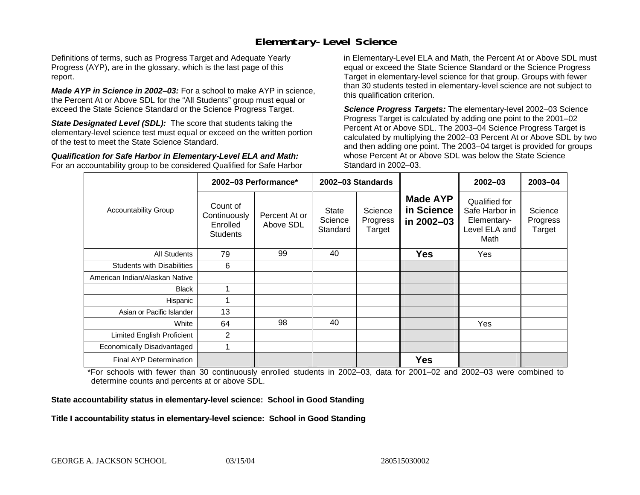### **Elementary-Level Science**

Definitions of terms, such as Progress Target and Adequate Yearly Progress (AYP), are in the glossary, which is the last page of this report.

*Made AYP in Science in 2002–03:* For a school to make AYP in science, the Percent At or Above SDL for the "All Students" group must equal or exceed the State Science Standard or the Science Progress Target.

**State Designated Level (SDL):** The score that students taking the elementary-level science test must equal or exceed on the written portion of the test to meet the State Science Standard.

*Qualification for Safe Harbor in Elementary-Level ELA and Math:* For an accountability group to be considered Qualified for Safe Harbor in Elementary-Level ELA and Math, the Percent At or Above SDL must equal or exceed the State Science Standard or the Science Progress Target in elementary-level science for that group. Groups with fewer than 30 students tested in elementary-level science are not subject to this qualification criterion.

*Science Progress Targets:* The elementary-level 2002–03 Science Progress Target is calculated by adding one point to the 2001–02 Percent At or Above SDL. The 2003–04 Science Progress Target is calculated by multiplying the 2002–03 Percent At or Above SDL by two and then adding one point. The 2003–04 target is provided for groups whose Percent At or Above SDL was below the State Science Standard in 2002–03.

|                                   |                                                         | 2002-03 Performance*       | 2002-03 Standards                   |                               |                                             | $2002 - 03$                                                             | $2003 - 04$                   |
|-----------------------------------|---------------------------------------------------------|----------------------------|-------------------------------------|-------------------------------|---------------------------------------------|-------------------------------------------------------------------------|-------------------------------|
| <b>Accountability Group</b>       | Count of<br>Continuously<br>Enrolled<br><b>Students</b> | Percent At or<br>Above SDL | <b>State</b><br>Science<br>Standard | Science<br>Progress<br>Target | <b>Made AYP</b><br>in Science<br>in 2002-03 | Qualified for<br>Safe Harbor in<br>Elementary-<br>Level ELA and<br>Math | Science<br>Progress<br>Target |
| All Students                      | 79                                                      | 99                         | 40                                  |                               | <b>Yes</b>                                  | Yes                                                                     |                               |
| <b>Students with Disabilities</b> | 6                                                       |                            |                                     |                               |                                             |                                                                         |                               |
| American Indian/Alaskan Native    |                                                         |                            |                                     |                               |                                             |                                                                         |                               |
| <b>Black</b>                      |                                                         |                            |                                     |                               |                                             |                                                                         |                               |
| Hispanic                          |                                                         |                            |                                     |                               |                                             |                                                                         |                               |
| Asian or Pacific Islander         | 13                                                      |                            |                                     |                               |                                             |                                                                         |                               |
| White                             | 64                                                      | 98                         | 40                                  |                               |                                             | Yes                                                                     |                               |
| Limited English Proficient        | 2                                                       |                            |                                     |                               |                                             |                                                                         |                               |
| Economically Disadvantaged        |                                                         |                            |                                     |                               |                                             |                                                                         |                               |
| <b>Final AYP Determination</b>    |                                                         |                            |                                     |                               | <b>Yes</b>                                  |                                                                         |                               |

\*For schools with fewer than 30 continuously enrolled students in 2002–03, data for 2001–02 and 2002–03 were combined to determine counts and percents at or above SDL.

#### **State accountability status in elementary-level science: School in Good Standing**

#### Title I accountability status in elementary-level science: School in Good Standing